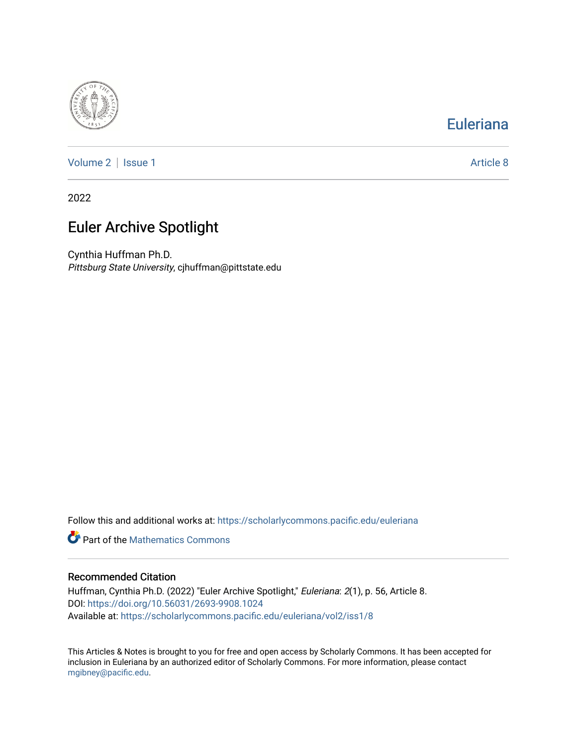

## [Euleriana](https://scholarlycommons.pacific.edu/euleriana)

[Volume 2](https://scholarlycommons.pacific.edu/euleriana/vol2) | [Issue 1](https://scholarlycommons.pacific.edu/euleriana/vol2/iss1) Article 8

2022

# Euler Archive Spotlight

Cynthia Huffman Ph.D. Pittsburg State University, cjhuffman@pittstate.edu

Follow this and additional works at: [https://scholarlycommons.pacific.edu/euleriana](https://scholarlycommons.pacific.edu/euleriana?utm_source=scholarlycommons.pacific.edu%2Feuleriana%2Fvol2%2Fiss1%2F8&utm_medium=PDF&utm_campaign=PDFCoverPages) 

**P** Part of the [Mathematics Commons](http://network.bepress.com/hgg/discipline/174?utm_source=scholarlycommons.pacific.edu%2Feuleriana%2Fvol2%2Fiss1%2F8&utm_medium=PDF&utm_campaign=PDFCoverPages)

### Recommended Citation

Huffman, Cynthia Ph.D. (2022) "Euler Archive Spotlight," Euleriana: 2(1), p. 56, Article 8. DOI:<https://doi.org/10.56031/2693-9908.1024> Available at: [https://scholarlycommons.pacific.edu/euleriana/vol2/iss1/8](https://scholarlycommons.pacific.edu/euleriana/vol2/iss1/8?utm_source=scholarlycommons.pacific.edu%2Feuleriana%2Fvol2%2Fiss1%2F8&utm_medium=PDF&utm_campaign=PDFCoverPages)

This Articles & Notes is brought to you for free and open access by Scholarly Commons. It has been accepted for inclusion in Euleriana by an authorized editor of Scholarly Commons. For more information, please contact [mgibney@pacific.edu.](mailto:mgibney@pacific.edu)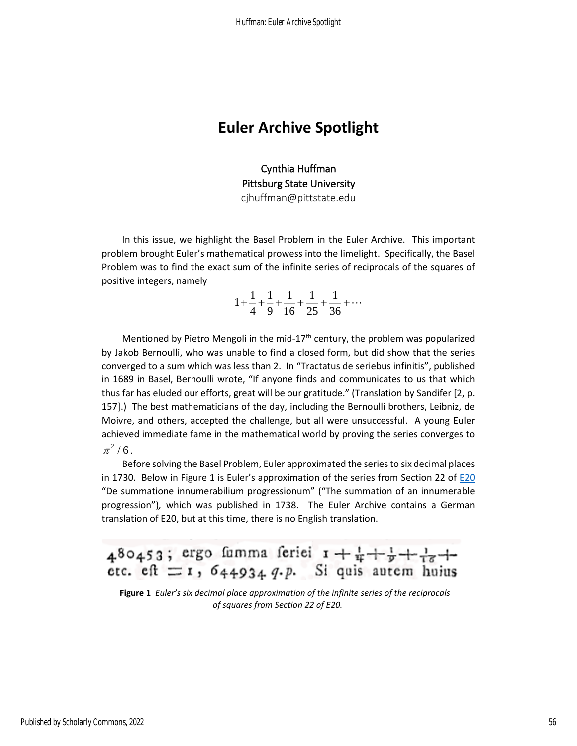### **Euler Archive Spotlight**

Cynthia Huffman Pittsburg State University cjhuffman@pittstate.edu

In this issue, we highlight the Basel Problem in the Euler Archive. This important problem brought Euler's mathematical prowess into the limelight. Specifically, the Basel Problem was to find the exact sum of the infinite series of reciprocals of the squares of positive integers, namely

$$
1 + \frac{1}{4} + \frac{1}{9} + \frac{1}{16} + \frac{1}{25} + \frac{1}{36} + \cdots
$$

Mentioned by Pietro Mengoli in the mid-17<sup>th</sup> century, the problem was popularized by Jakob Bernoulli, who was unable to find a closed form, but did show that the series converged to a sum which was less than 2. In "Tractatus de seriebus infinitis", published in 1689 in Basel, Bernoulli wrote, "If anyone finds and communicates to us that which thus far has eluded our efforts, great will be our gratitude." (Translation by Sandifer [2, p. 157].) The best mathematicians of the day, including the Bernoulli brothers, Leibniz, de Moivre, and others, accepted the challenge, but all were unsuccessful. A young Euler achieved immediate fame in the mathematical world by proving the series converges to  $\pi^2/6$ .

Before solving the Basel Problem, Euler approximated the series to six decimal places in 1730. Below in Figure 1 is Euler's approximation of the series from Section 22 of  $E20$ "De summatione innumerabilium progressionum" ("The summation of an innumerable progression")*,* which was published in 1738. The Euler Archive contains a German translation of E20, but at this time, there is no English translation.

480453; ergo fumma feriei  $1 + \frac{1}{4} + \frac{1}{9} + \frac{1}{16} + \frac{1}{9}$ etc. eft  $r = 1$ ,  $644934$ ,  $q. p.$  Si quis autem huius

**Figure 1** *Euler's six decimal place approximation of the infinite series of the reciprocals of squares from Section 22 of E20.*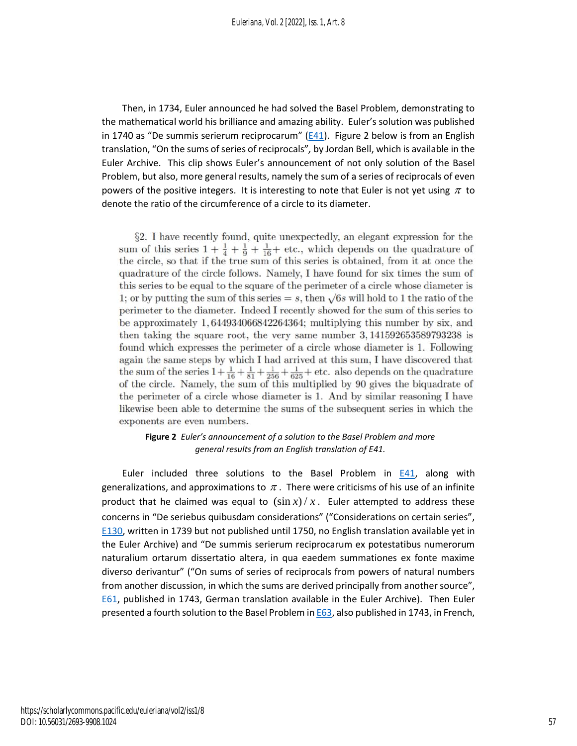Then, in 1734, Euler announced he had solved the Basel Problem, demonstrating to the mathematical world his brilliance and amazing ability. Euler's solution was published in 1740 as "De summis serierum reciprocarum" ( $E$ 41). Figure 2 below is from an English translation, "On the sums of series of reciprocals"*,* by Jordan Bell, which is available in the Euler Archive. This clip shows Euler's announcement of not only solution of the Basel Problem, but also, more general results, namely the sum of a series of reciprocals of even powers of the positive integers. It is interesting to note that Euler is not yet using  $\pi$  to denote the ratio of the circumference of a circle to its diameter.

§2. I have recently found, quite unexpectedly, an elegant expression for the sum of this series  $1 + \frac{1}{4} + \frac{1}{9} + \frac{1}{16} +$  etc., which depends on the quadrature of the circle, so that if the true sum of this series is obtained, from it at once the quadrature of the circle follows. Namely, I have found for six times the sum of this series to be equal to the square of the perimeter of a circle whose diameter is 1; or by putting the sum of this series  $= s$ , then  $\sqrt{6s}$  will hold to 1 the ratio of the perimeter to the diameter. Indeed I recently showed for the sum of this series to be approximately 1,644934066842264364; multiplying this number by six, and then taking the square root, the very same number  $3,141592653589793238$  is found which expresses the perimeter of a circle whose diameter is 1. Following again the same steps by which I had arrived at this sum, I have discovered that the sum of the series  $1+\frac{1}{16}+\frac{1}{81}+\frac{1}{256}+\frac{1}{625}$  + etc. also depends on the quadrature of the circle. Namely, the sum of this multiplied by 90 gives the biquadrate of the perimeter of a circle whose diameter is 1. And by similar reasoning I have likewise been able to determine the sums of the subsequent series in which the exponents are even numbers.

### **Figure 2** *Euler's announcement of a solution to the Basel Problem and more general results from an English translation of E41.*

Euler included three solutions to the Basel Problem in  $E41$ , along with generalizations, and approximations to  $\pi$  . There were criticisms of his use of an infinite product that he claimed was equal to  $(\sin x)/x$ . Euler attempted to address these concerns in "De seriebus quibusdam considerations" ("Considerations on certain series", [E130,](https://scholarlycommons.pacific.edu/euler-works/130/) written in 1739 but not published until 1750, no English translation available yet in the Euler Archive) and "De summis serierum reciprocarum ex potestatibus numerorum naturalium ortarum dissertatio altera, in qua eaedem summationes ex fonte maxime diverso derivantur" ("On sums of series of reciprocals from powers of natural numbers from another discussion, in which the sums are derived principally from another source", [E61,](https://scholarlycommons.pacific.edu/euler-works/61/) published in 1743, German translation available in the Euler Archive). Then Euler presented a fourth solution to the Basel Problem i[n E63,](https://scholarlycommons.pacific.edu/euler-works/63/) also published in 1743, in French,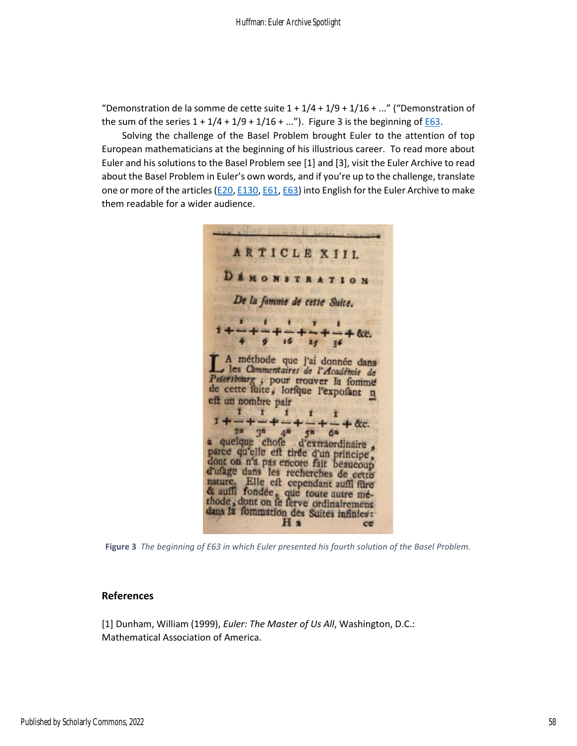"Demonstration de la somme de cette suite  $1 + 1/4 + 1/9 + 1/16 + ...$ " ("Demonstration of the sum of the series  $1 + 1/4 + 1/9 + 1/16 + ...$ "). Figure 3 is the beginning o[f E63.](https://www.google.com/books/edition/Journal_litt%C3%A9raire_d_Allemagne_de_Suiss/yGIEAAAAQAAJ?hl=en&gbpv=1&dq=%22Journal%20litteraire%20d%27Allemagne%22&pg=PA115&printsec=frontcover)

Solving the challenge of the Basel Problem brought Euler to the attention of top European mathematicians at the beginning of his illustrious career. To read more about Euler and his solutions to the Basel Problem see [1] and [3], visit the Euler Archive to read about the Basel Problem in Euler's own words, and if you're up to the challenge, translate one or more of the articles ( $E20$ ,  $E130$ ,  $E61$ ,  $E63$ ) into English for the Euler Archive to make them readable for a wider audience.

**ARTICLE XIIL DEMONSTRATION** De la fomme de cette Suite. 24 36 A méthode que j'ai donnée dans les Commentaires de l'Académie de Petersbourg ; pour trouver la fomme de cette fuite, lorfque l'exposant n eft un nombre pair T  $- + \alpha$ .  $2^n$   $3^n$   $4^n$   $5^n$  6<sup>6</sup><br>
a quelque chofe d'extraordinaire,<br>
parce qu'elle eft tirée d'un principe,<br>
dont on n'a pas encore fait beaucoup<br>
d'ufage dans les recherches de cette<br>
nature. Elle eft cependant auffi fure<br>
de au 20  $3<sup>n</sup>$  $4^{\overline{n}}$  $5<sup>m</sup>$ **GN** H<sub>2</sub>  $ce$ 

**Figure 3** *The beginning of E63 in which Euler presented his fourth solution of the Basel Problem.*

#### **References**

[1] Dunham, William (1999), *Euler: The Master of Us All*, Washington, D.C.: Mathematical Association of America.